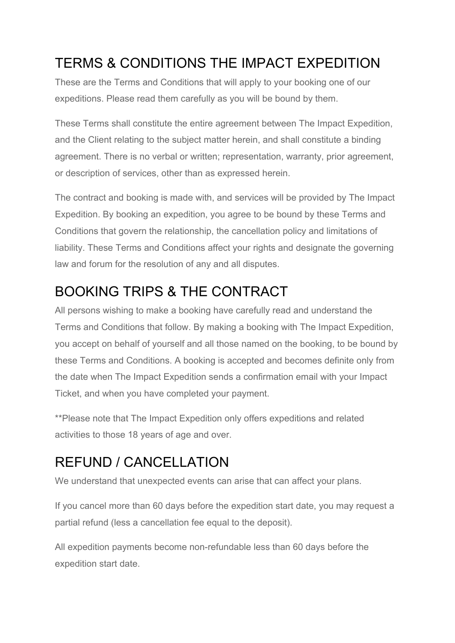#### TERMS & CONDITIONS THE IMPACT EXPEDITION

These are the Terms and Conditions that will apply to your booking one of our expeditions. Please read them carefully as you will be bound by them.

These Terms shall constitute the entire agreement between The Impact Expedition, and the Client relating to the subject matter herein, and shall constitute a binding agreement. There is no verbal or written; representation, warranty, prior agreement, or description of services, other than as expressed herein.

The contract and booking is made with, and services will be provided by The Impact Expedition. By booking an expedition, you agree to be bound by these Terms and Conditions that govern the relationship, the cancellation policy and limitations of liability. These Terms and Conditions affect your rights and designate the governing law and forum for the resolution of any and all disputes.

#### BOOKING TRIPS & THE CONTRACT

All persons wishing to make a booking have carefully read and understand the Terms and Conditions that follow. By making a booking with The Impact Expedition, you accept on behalf of yourself and all those named on the booking, to be bound by these Terms and Conditions. A booking is accepted and becomes definite only from the date when The Impact Expedition sends a confirmation email with your Impact Ticket, and when you have completed your payment.

\*\*Please note that The Impact Expedition only offers expeditions and related activities to those 18 years of age and over.

#### REFUND / CANCELLATION

We understand that unexpected events can arise that can affect your plans.

If you cancel more than 60 days before the expedition start date, you may request a partial refund (less a cancellation fee equal to the deposit).

All expedition payments become non-refundable less than 60 days before the expedition start date.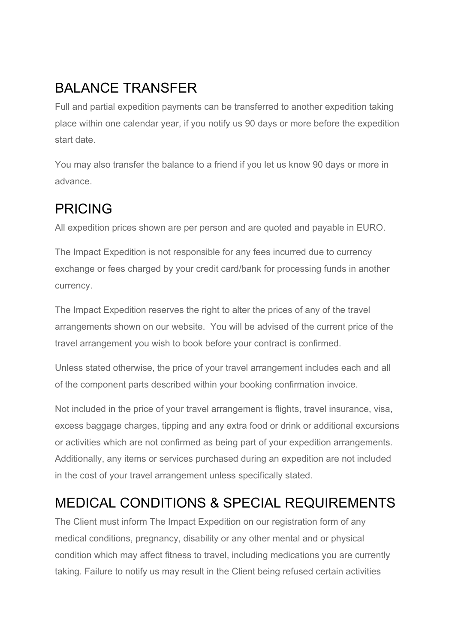# BALANCE TRANSFER

Full and partial expedition payments can be transferred to another expedition taking place within one calendar year, if you notify us 90 days or more before the expedition start date.

You may also transfer the balance to a friend if you let us know 90 days or more in advance.

#### PRICING

All expedition prices shown are per person and are quoted and payable in EURO.

The Impact Expedition is not responsible for any fees incurred due to currency exchange or fees charged by your credit card/bank for processing funds in another currency.

The Impact Expedition reserves the right to alter the prices of any of the travel arrangements shown on our website. You will be advised of the current price of the travel arrangement you wish to book before your contract is confirmed.

Unless stated otherwise, the price of your travel arrangement includes each and all of the component parts described within your booking confirmation invoice.

Not included in the price of your travel arrangement is flights, travel insurance, visa, excess baggage charges, tipping and any extra food or drink or additional excursions or activities which are not confirmed as being part of your expedition arrangements. Additionally, any items or services purchased during an expedition are not included in the cost of your travel arrangement unless specifically stated.

#### MEDICAL CONDITIONS & SPECIAL REQUIREMENTS

The Client must inform The Impact Expedition on our registration form of any medical conditions, pregnancy, disability or any other mental and or physical condition which may affect fitness to travel, including medications you are currently taking. Failure to notify us may result in the Client being refused certain activities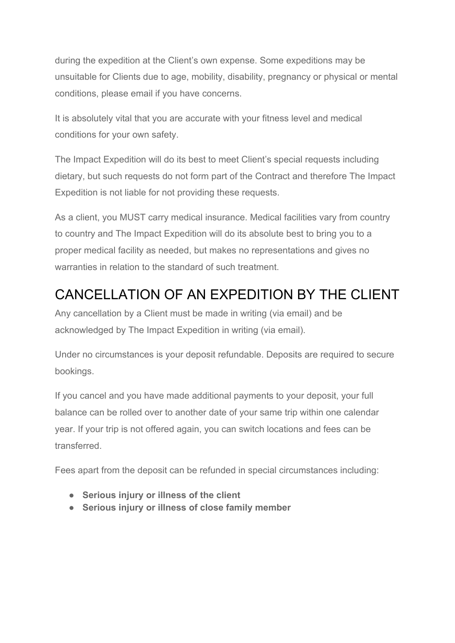during the expedition at the Client's own expense. Some expeditions may be unsuitable for Clients due to age, mobility, disability, pregnancy or physical or mental conditions, please email if you have concerns.

It is absolutely vital that you are accurate with your fitness level and medical conditions for your own safety.

The Impact Expedition will do its best to meet Client's special requests including dietary, but such requests do not form part of the Contract and therefore The Impact Expedition is not liable for not providing these requests.

As a client, you MUST carry medical insurance. Medical facilities vary from country to country and The Impact Expedition will do its absolute best to bring you to a proper medical facility as needed, but makes no representations and gives no warranties in relation to the standard of such treatment.

#### CANCELLATION OF AN EXPEDITION BY THE CLIENT

Any cancellation by a Client must be made in writing (via email) and be acknowledged by The Impact Expedition in writing (via email).

Under no circumstances is your deposit refundable. Deposits are required to secure bookings.

If you cancel and you have made additional payments to your deposit, your full balance can be rolled over to another date of your same trip within one calendar year. If your trip is not offered again, you can switch locations and fees can be transferred.

Fees apart from the deposit can be refunded in special circumstances including:

- **Serious injury or illness of the client**
- **Serious injury or illness of close family member**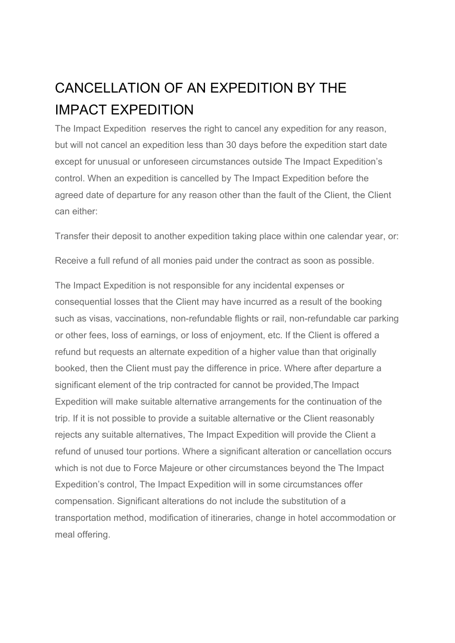# CANCELLATION OF AN EXPEDITION BY THE IMPACT EXPEDITION

The Impact Expedition reserves the right to cancel any expedition for any reason, but will not cancel an expedition less than 30 days before the expedition start date except for unusual or unforeseen circumstances outside The Impact Expedition's control. When an expedition is cancelled by The Impact Expedition before the agreed date of departure for any reason other than the fault of the Client, the Client can either:

Transfer their deposit to another expedition taking place within one calendar year, or:

Receive a full refund of all monies paid under the contract as soon as possible.

The Impact Expedition is not responsible for any incidental expenses or consequential losses that the Client may have incurred as a result of the booking such as visas, vaccinations, non-refundable flights or rail, non-refundable car parking or other fees, loss of earnings, or loss of enjoyment, etc. If the Client is offered a refund but requests an alternate expedition of a higher value than that originally booked, then the Client must pay the difference in price. Where after departure a significant element of the trip contracted for cannot be provided,The Impact Expedition will make suitable alternative arrangements for the continuation of the trip. If it is not possible to provide a suitable alternative or the Client reasonably rejects any suitable alternatives, The Impact Expedition will provide the Client a refund of unused tour portions. Where a significant alteration or cancellation occurs which is not due to Force Majeure or other circumstances beyond the The Impact Expedition's control, The Impact Expedition will in some circumstances offer compensation. Significant alterations do not include the substitution of a transportation method, modification of itineraries, change in hotel accommodation or meal offering.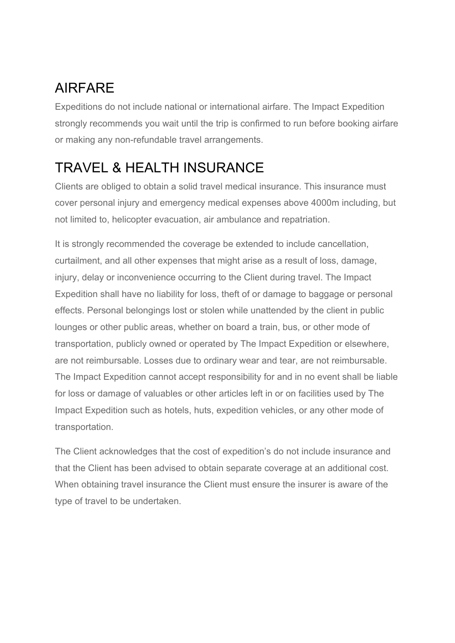### AIRFARE

Expeditions do not include national or international airfare. The Impact Expedition strongly recommends you wait until the trip is confirmed to run before booking airfare or making any non-refundable travel arrangements.

# TRAVEL & HEALTH INSURANCE

Clients are obliged to obtain a solid travel medical insurance. This insurance must cover personal injury and emergency medical expenses above 4000m including, but not limited to, helicopter evacuation, air ambulance and repatriation.

It is strongly recommended the coverage be extended to include cancellation, curtailment, and all other expenses that might arise as a result of loss, damage, injury, delay or inconvenience occurring to the Client during travel. The Impact Expedition shall have no liability for loss, theft of or damage to baggage or personal effects. Personal belongings lost or stolen while unattended by the client in public lounges or other public areas, whether on board a train, bus, or other mode of transportation, publicly owned or operated by The Impact Expedition or elsewhere, are not reimbursable. Losses due to ordinary wear and tear, are not reimbursable. The Impact Expedition cannot accept responsibility for and in no event shall be liable for loss or damage of valuables or other articles left in or on facilities used by The Impact Expedition such as hotels, huts, expedition vehicles, or any other mode of transportation.

The Client acknowledges that the cost of expedition's do not include insurance and that the Client has been advised to obtain separate coverage at an additional cost. When obtaining travel insurance the Client must ensure the insurer is aware of the type of travel to be undertaken.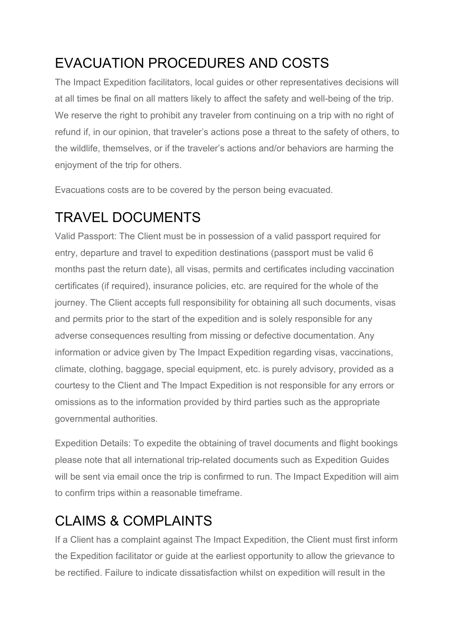## EVACUATION PROCEDURES AND COSTS

The Impact Expedition facilitators, local guides or other representatives decisions will at all times be final on all matters likely to affect the safety and well-being of the trip. We reserve the right to prohibit any traveler from continuing on a trip with no right of refund if, in our opinion, that traveler's actions pose a threat to the safety of others, to the wildlife, themselves, or if the traveler's actions and/or behaviors are harming the enjoyment of the trip for others.

Evacuations costs are to be covered by the person being evacuated.

## TRAVEL DOCUMENTS

Valid Passport: The Client must be in possession of a valid passport required for entry, departure and travel to expedition destinations (passport must be valid 6 months past the return date), all visas, permits and certificates including vaccination certificates (if required), insurance policies, etc. are required for the whole of the journey. The Client accepts full responsibility for obtaining all such documents, visas and permits prior to the start of the expedition and is solely responsible for any adverse consequences resulting from missing or defective documentation. Any information or advice given by The Impact Expedition regarding visas, vaccinations, climate, clothing, baggage, special equipment, etc. is purely advisory, provided as a courtesy to the Client and The Impact Expedition is not responsible for any errors or omissions as to the information provided by third parties such as the appropriate governmental authorities.

Expedition Details: To expedite the obtaining of travel documents and flight bookings please note that all international trip-related documents such as Expedition Guides will be sent via email once the trip is confirmed to run. The Impact Expedition will aim to confirm trips within a reasonable timeframe.

# CLAIMS & COMPLAINTS

If a Client has a complaint against The Impact Expedition, the Client must first inform the Expedition facilitator or guide at the earliest opportunity to allow the grievance to be rectified. Failure to indicate dissatisfaction whilst on expedition will result in the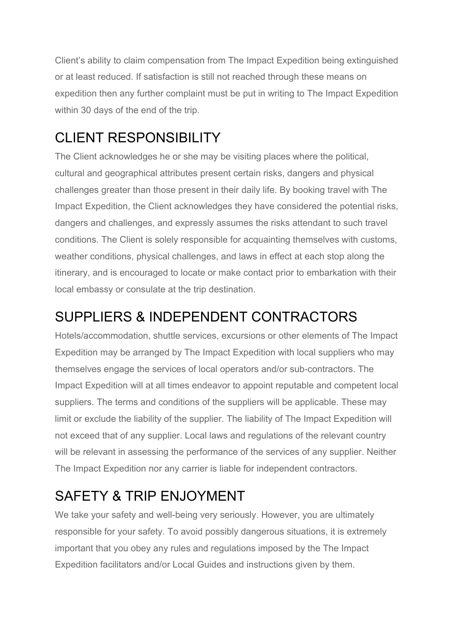Client's ability to claim compensation from The Impact Expedition being extinguished or at least reduced. If satisfaction is still not reached through these means on expedition then any further complaint must be put in writing to The Impact Expedition within 30 days of the end of the trip.

### CLIENT RESPONSIBILITY

The Client acknowledges he or she may be visiting places where the political, cultural and geographical attributes present certain risks, dangers and physical challenges greater than those present in their daily life. By booking travel with The Impact Expedition, the Client acknowledges they have considered the potential risks, dangers and challenges, and expressly assumes the risks attendant to such travel conditions. The Client is solely responsible for acquainting themselves with customs, weather conditions, physical challenges, and laws in effect at each stop along the itinerary, and is encouraged to locate or make contact prior to embarkation with their local embassy or consulate at the trip destination.

#### SUPPLIERS & INDEPENDENT CONTRACTORS

Hotels/accommodation, shuttle services, excursions or other elements of The Impact Expedition may be arranged by The Impact Expedition with local suppliers who may themselves engage the services of local operators and/or sub-contractors. The Impact Expedition will at all times endeavor to appoint reputable and competent local suppliers. The terms and conditions of the suppliers will be applicable. These may limit or exclude the liability of the supplier. The liability of The Impact Expedition will not exceed that of any supplier. Local laws and regulations of the relevant country will be relevant in assessing the performance of the services of any supplier. Neither The Impact Expedition nor any carrier is liable for independent contractors.

## SAFETY & TRIP ENJOYMENT

We take your safety and well-being very seriously. However, you are ultimately responsible for your safety. To avoid possibly dangerous situations, it is extremely important that you obey any rules and regulations imposed by the The Impact Expedition facilitators and/or Local Guides and instructions given by them.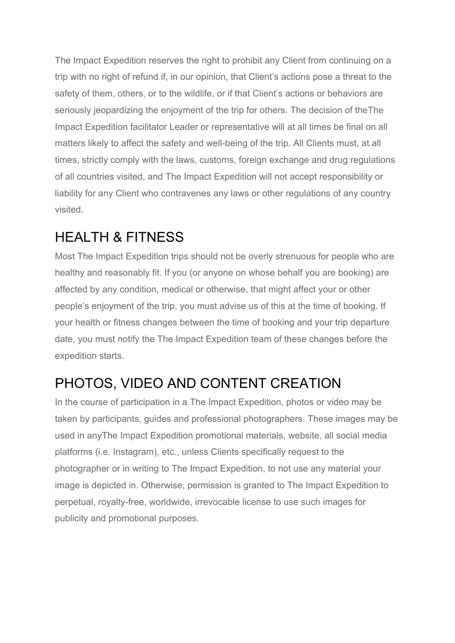The Impact Expedition reserves the right to prohibit any Client from continuing on a trip with no right of refund if, in our opinion, that Client's actions pose a threat to the safety of them, others, or to the wildlife, or if that Client's actions or behaviors are seriously jeopardizing the enjoyment of the trip for others. The decision of theThe Impact Expedition facilitator Leader or representative will at all times be final on all matters likely to affect the safety and well-being of the trip. All Clients must, at all times, strictly comply with the laws, customs, foreign exchange and drug regulations of all countries visited, and The Impact Expedition will not accept responsibility or liability for any Client who contravenes any laws or other regulations of any country visited.

### HEALTH & FITNESS

Most The Impact Expedition trips should not be overly strenuous for people who are healthy and reasonably fit. If you (or anyone on whose behalf you are booking) are affected by any condition, medical or otherwise, that might affect your or other people's enjoyment of the trip, you must advise us of this at the time of booking. If your health or fitness changes between the time of booking and your trip departure date, you must notify the The Impact Expedition team of these changes before the expedition starts.

#### PHOTOS, VIDEO AND CONTENT CREATION

In the course of participation in a The Impact Expedition, photos or video may be taken by participants, guides and professional photographers. These images may be used in anyThe Impact Expedition promotional materials, website, all social media platforms (i.e. Instagram), etc., unless Clients specifically request to the photographer or in writing to The Impact Expedition, to not use any material your image is depicted in. Otherwise, permission is granted to The Impact Expedition to perpetual, royalty-free, worldwide, irrevocable license to use such images for publicity and promotional purposes.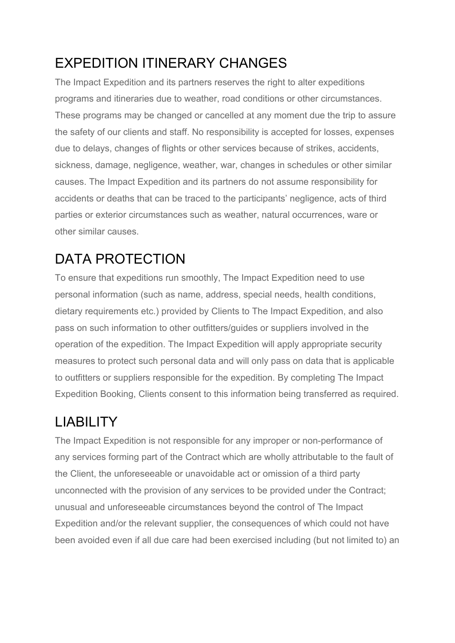# EXPEDITION ITINERARY CHANGES

The Impact Expedition and its partners reserves the right to alter expeditions programs and itineraries due to weather, road conditions or other circumstances. These programs may be changed or cancelled at any moment due the trip to assure the safety of our clients and staff. No responsibility is accepted for losses, expenses due to delays, changes of flights or other services because of strikes, accidents, sickness, damage, negligence, weather, war, changes in schedules or other similar causes. The Impact Expedition and its partners do not assume responsibility for accidents or deaths that can be traced to the participants' negligence, acts of third parties or exterior circumstances such as weather, natural occurrences, ware or other similar causes.

# DATA PROTECTION

To ensure that expeditions run smoothly, The Impact Expedition need to use personal information (such as name, address, special needs, health conditions, dietary requirements etc.) provided by Clients to The Impact Expedition, and also pass on such information to other outfitters/guides or suppliers involved in the operation of the expedition. The Impact Expedition will apply appropriate security measures to protect such personal data and will only pass on data that is applicable to outfitters or suppliers responsible for the expedition. By completing The Impact Expedition Booking, Clients consent to this information being transferred as required.

# LIABILITY

The Impact Expedition is not responsible for any improper or non-performance of any services forming part of the Contract which are wholly attributable to the fault of the Client, the unforeseeable or unavoidable act or omission of a third party unconnected with the provision of any services to be provided under the Contract; unusual and unforeseeable circumstances beyond the control of The Impact Expedition and/or the relevant supplier, the consequences of which could not have been avoided even if all due care had been exercised including (but not limited to) an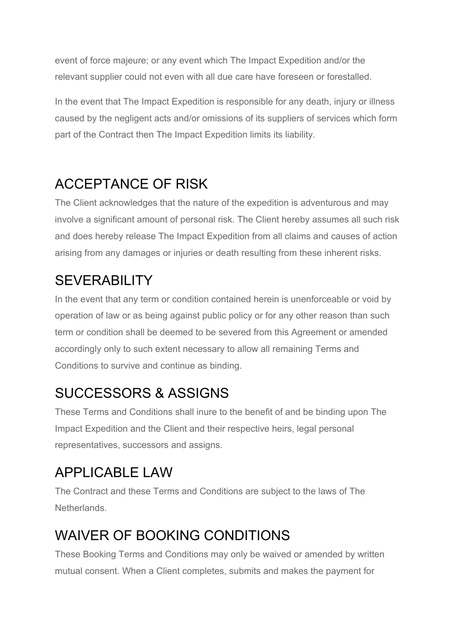event of force majeure; or any event which The Impact Expedition and/or the relevant supplier could not even with all due care have foreseen or forestalled.

In the event that The Impact Expedition is responsible for any death, injury or illness caused by the negligent acts and/or omissions of its suppliers of services which form part of the Contract then The Impact Expedition limits its liability.

# ACCEPTANCE OF RISK

The Client acknowledges that the nature of the expedition is adventurous and may involve a significant amount of personal risk. The Client hereby assumes all such risk and does hereby release The Impact Expedition from all claims and causes of action arising from any damages or injuries or death resulting from these inherent risks.

### **SEVERABILITY**

In the event that any term or condition contained herein is unenforceable or void by operation of law or as being against public policy or for any other reason than such term or condition shall be deemed to be severed from this Agreement or amended accordingly only to such extent necessary to allow all remaining Terms and Conditions to survive and continue as binding.

## SUCCESSORS & ASSIGNS

These Terms and Conditions shall inure to the benefit of and be binding upon The Impact Expedition and the Client and their respective heirs, legal personal representatives, successors and assigns.

# APPLICABLE LAW

The Contract and these Terms and Conditions are subject to the laws of The Netherlands.

# WAIVER OF BOOKING CONDITIONS

These Booking Terms and Conditions may only be waived or amended by written mutual consent. When a Client completes, submits and makes the payment for